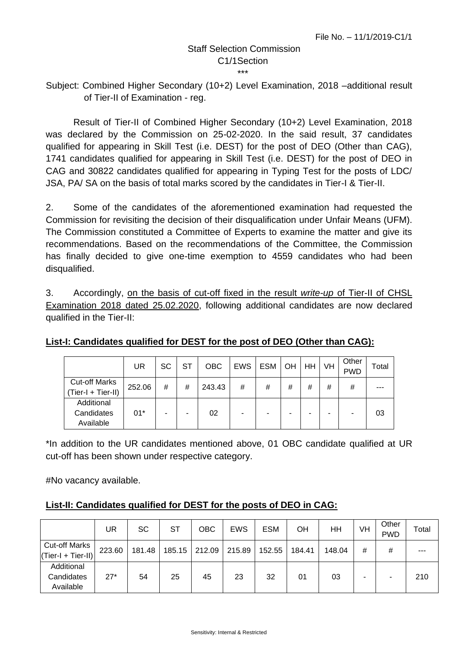## Staff Selection Commission C1/1Section \*\*\*

Subject: Combined Higher Secondary (10+2) Level Examination, 2018 –additional result of Tier-II of Examination - reg.

Result of Tier-II of Combined Higher Secondary (10+2) Level Examination, 2018 was declared by the Commission on 25-02-2020. In the said result, 37 candidates qualified for appearing in Skill Test (i.e. DEST) for the post of DEO (Other than CAG), 1741 candidates qualified for appearing in Skill Test (i.e. DEST) for the post of DEO in CAG and 30822 candidates qualified for appearing in Typing Test for the posts of LDC/ JSA, PA/ SA on the basis of total marks scored by the candidates in Tier-I & Tier-II.

2. Some of the candidates of the aforementioned examination had requested the Commission for revisiting the decision of their disqualification under Unfair Means (UFM). The Commission constituted a Committee of Experts to examine the matter and give its recommendations. Based on the recommendations of the Committee, the Commission has finally decided to give one-time exemption to 4559 candidates who had been disqualified.

3. Accordingly, on the basis of cut-off fixed in the result *write-up* of Tier-II of CHSL Examination 2018 dated 25.02.2020, following additional candidates are now declared qualified in the Tier-II:

|                                            | UR     | SC | ST | <b>OBC</b> | <b>EWS</b> | <b>ESM</b> | OH | HH | VH | Other<br><b>PWD</b> | Total |
|--------------------------------------------|--------|----|----|------------|------------|------------|----|----|----|---------------------|-------|
| <b>Cut-off Marks</b><br>(Tier-I + Tier-II) | 252.06 | #  | #  | 243.43     | #          | #          | #  | #  | #  | #                   |       |
| Additional<br>Candidates<br>Available      | $01*$  | ۰  |    | 02         |            |            |    |    |    |                     | 03    |

## **List-I: Candidates qualified for DEST for the post of DEO (Other than CAG):**

\*In addition to the UR candidates mentioned above, 01 OBC candidate qualified at UR cut-off has been shown under respective category.

#No vacancy available.

| List-II: Candidates qualified for DEST for the posts of DEO in CAG: |
|---------------------------------------------------------------------|
|---------------------------------------------------------------------|

|                                              | UR     | <b>SC</b> | <b>ST</b> | OBC    | <b>EWS</b> | <b>ESM</b> | OН     | ΗH     | VH | Other<br><b>PWD</b> | Total |
|----------------------------------------------|--------|-----------|-----------|--------|------------|------------|--------|--------|----|---------------------|-------|
| <b>Cut-off Marks</b><br>$(Tier-I + Tier-II)$ | 223.60 | 181.48    | 185.15    | 212.09 | 215.89     | 152.55     | 184.41 | 148.04 | #  | #                   | ---   |
| Additional<br>Candidates<br>Available        | $27*$  | 54        | 25        | 45     | 23         | 32         | 01     | 03     | -  |                     | 210   |